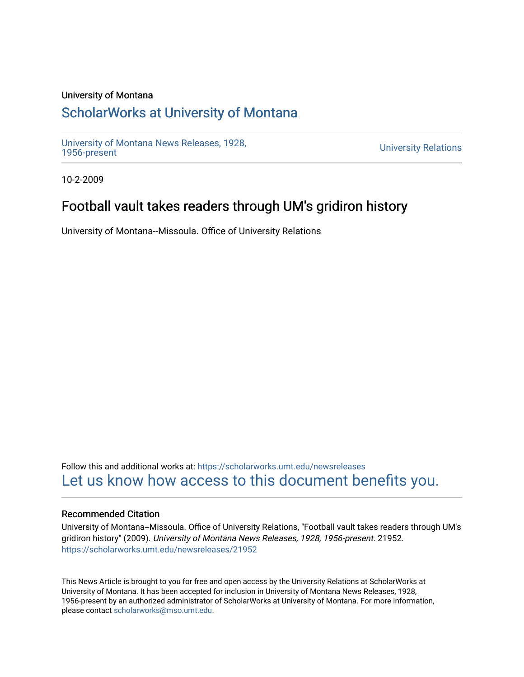## University of Montana

# [ScholarWorks at University of Montana](https://scholarworks.umt.edu/)

[University of Montana News Releases, 1928,](https://scholarworks.umt.edu/newsreleases) 

**University Relations** 

10-2-2009

# Football vault takes readers through UM's gridiron history

University of Montana--Missoula. Office of University Relations

Follow this and additional works at: [https://scholarworks.umt.edu/newsreleases](https://scholarworks.umt.edu/newsreleases?utm_source=scholarworks.umt.edu%2Fnewsreleases%2F21952&utm_medium=PDF&utm_campaign=PDFCoverPages) [Let us know how access to this document benefits you.](https://goo.gl/forms/s2rGfXOLzz71qgsB2) 

### Recommended Citation

University of Montana--Missoula. Office of University Relations, "Football vault takes readers through UM's gridiron history" (2009). University of Montana News Releases, 1928, 1956-present. 21952. [https://scholarworks.umt.edu/newsreleases/21952](https://scholarworks.umt.edu/newsreleases/21952?utm_source=scholarworks.umt.edu%2Fnewsreleases%2F21952&utm_medium=PDF&utm_campaign=PDFCoverPages) 

This News Article is brought to you for free and open access by the University Relations at ScholarWorks at University of Montana. It has been accepted for inclusion in University of Montana News Releases, 1928, 1956-present by an authorized administrator of ScholarWorks at University of Montana. For more information, please contact [scholarworks@mso.umt.edu.](mailto:scholarworks@mso.umt.edu)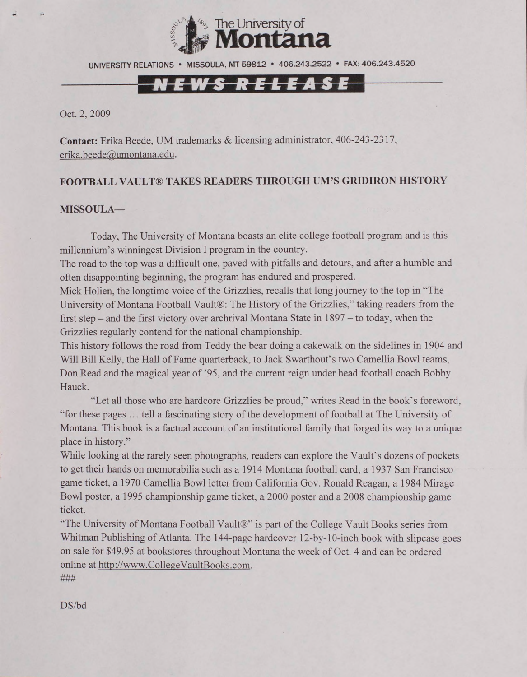

UNIVERSITY RELATIONS • MISSOULA. MT 59812 • 406.243.2522 • FAX: 406.243.4520

# **B**

Oct. 2, 2009

**Contact:** Erika Beede, UM trademarks & licensing administrator, 406-243-2317, erika. beede@umontana. edu.

#### **FOOTBALL VAULT® TAKES READERS THROUGH UM'S GRIDIRON HISTORY**

#### **MISSOULA—**

Today, The University of Montana boasts an elite college football program and is this millennium's winningest Division I program in the country.

The road to the top was a difficult one, paved with pitfalls and detours, and after a humble and often disappointing beginning, the program has endured and prospered.

Mick Holien, the longtime voice of the Grizzlies, recalls that long journey to the top in "The University of Montana Football Vault®: The History of the Grizzlies," taking readers from the first step - and the first victory over archrival Montana State in 1897 - to today, when the Grizzlies regularly contend for the national championship.

This history follows the road from Teddy the bear doing a cakewalk on the sidelines in 1904 and Will Bill Kelly, the Hall of Fame quarterback, to Jack Swarthout's two Camellia Bowl teams, Don Read and the magical year of '95, and the current reign under head football coach Bobby Hauck.

"Let all those who are hardcore Grizzlies be proud," writes Read in the book's foreword, "for these pages ... tell a fascinating story of the development of football at The University of Montana. This book is a factual account of an institutional family that forged its way to a unique place in history."

While looking at the rarely seen photographs, readers can explore the Vault's dozens of pockets to get their hands on memorabilia such as a 1914 Montana football card, a 1937 San Francisco game ticket, a 1970 Camellia Bowl letter from California Gov. Ronald Reagan, a 1984 Mirage Bowl poster, a 1995 championship game ticket, a 2000 poster and a 2008 championship game ticket.

"The University of Montana Football Vault®" is part of the College Vault Books series from Whitman Publishing of Atlanta. The 144-page hardcover 12-by-10-inch book with slipcase goes on sale for \$49.95 at bookstores throughout Montana the week of Oct. 4 and can be ordered online at <http://www.CollegeVaultBooks.com>. **###**

DS/bd